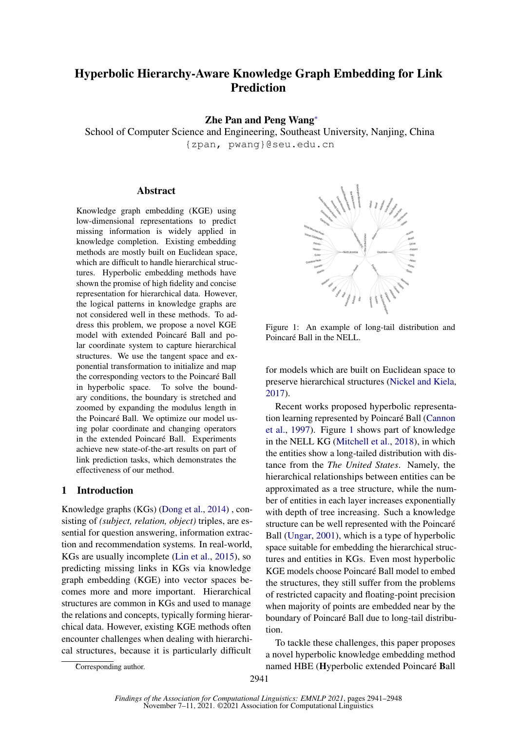# Hyperbolic Hierarchy-Aware Knowledge Graph Embedding for Link Prediction

## Zhe Pan and Peng Wang<sup>∗</sup>

School of Computer Science and Engineering, Southeast University, Nanjing, China {zpan, pwang}@seu.edu.cn

#### Abstract

Knowledge graph embedding (KGE) using low-dimensional representations to predict missing information is widely applied in knowledge completion. Existing embedding methods are mostly built on Euclidean space, which are difficult to handle hierarchical structures. Hyperbolic embedding methods have shown the promise of high fidelity and concise representation for hierarchical data. However, the logical patterns in knowledge graphs are not considered well in these methods. To address this problem, we propose a novel KGE model with extended Poincaré Ball and polar coordinate system to capture hierarchical structures. We use the tangent space and exponential transformation to initialize and map the corresponding vectors to the Poincaré Ball in hyperbolic space. To solve the boundary conditions, the boundary is stretched and zoomed by expanding the modulus length in the Poincaré Ball. We optimize our model using polar coordinate and changing operators in the extended Poincaré Ball. Experiments achieve new state-of-the-art results on part of link prediction tasks, which demonstrates the effectiveness of our method.

## 1 Introduction

Knowledge graphs (KGs) [\(Dong et al.,](#page-5-0) [2014\)](#page-5-0) , consisting of *(subject, relation, object)* triples, are essential for question answering, information extraction and recommendation systems. In real-world, KGs are usually incomplete [\(Lin et al.,](#page-5-1) [2015\)](#page-5-1), so predicting missing links in KGs via knowledge graph embedding (KGE) into vector spaces becomes more and more important. Hierarchical structures are common in KGs and used to manage the relations and concepts, typically forming hierarchical data. However, existing KGE methods often encounter challenges when dealing with hierarchical structures, because it is particularly difficult

<span id="page-0-0"></span>

Figure 1: An example of long-tail distribution and Poincaré Ball in the NELL.

for models which are built on Euclidean space to preserve hierarchical structures [\(Nickel and Kiela,](#page-5-2) [2017\)](#page-5-2).

Recent works proposed hyperbolic representation learning represented by Poincaré Ball [\(Cannon](#page-5-3) [et al.,](#page-5-3) [1997\)](#page-5-3). Figure [1](#page-0-0) shows part of knowledge in the NELL KG [\(Mitchell et al.,](#page-5-4) [2018\)](#page-5-4), in which the entities show a long-tailed distribution with distance from the *The United States*. Namely, the hierarchical relationships between entities can be approximated as a tree structure, while the number of entities in each layer increases exponentially with depth of tree increasing. Such a knowledge structure can be well represented with the Poincaré Ball [\(Ungar,](#page-5-5) [2001\)](#page-5-5), which is a type of hyperbolic space suitable for embedding the hierarchical structures and entities in KGs. Even most hyperbolic KGE models choose Poincaré Ball model to embed the structures, they still suffer from the problems of restricted capacity and floating-point precision when majority of points are embedded near by the boundary of Poincaré Ball due to long-tail distribution.

To tackle these challenges, this paper proposes a novel hyperbolic knowledge embedding method named HBE (Hyperbolic extended Poincaré Ball

Corresponding author.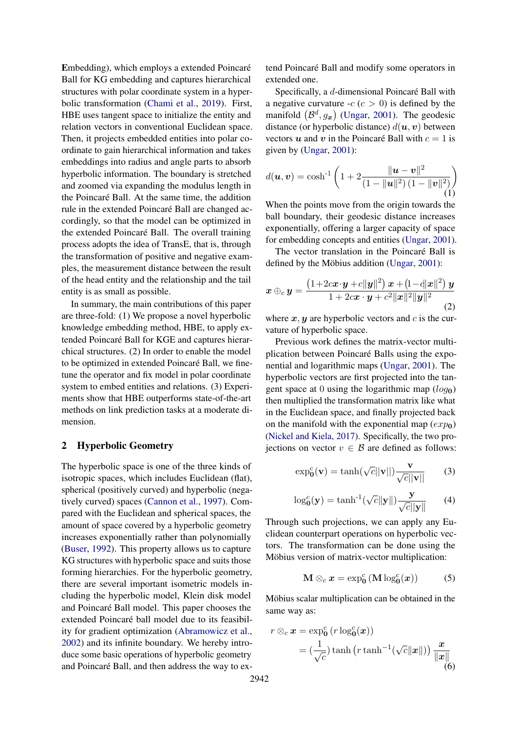Embedding), which employs a extended Poincaré Ball for KG embedding and captures hierarchical structures with polar coordinate system in a hyperbolic transformation [\(Chami et al.,](#page-5-6) [2019\)](#page-5-6). First, HBE uses tangent space to initialize the entity and relation vectors in conventional Euclidean space. Then, it projects embedded entities into polar coordinate to gain hierarchical information and takes embeddings into radius and angle parts to absorb hyperbolic information. The boundary is stretched and zoomed via expanding the modulus length in the Poincaré Ball. At the same time, the addition rule in the extended Poincaré Ball are changed accordingly, so that the model can be optimized in the extended Poincaré Ball. The overall training process adopts the idea of TransE, that is, through the transformation of positive and negative examples, the measurement distance between the result of the head entity and the relationship and the tail entity is as small as possible.

In summary, the main contributions of this paper are three-fold: (1) We propose a novel hyperbolic knowledge embedding method, HBE, to apply extended Poincaré Ball for KGE and captures hierarchical structures. (2) In order to enable the model to be optimized in extended Poincaré Ball, we finetune the operator and fix model in polar coordinate system to embed entities and relations. (3) Experiments show that HBE outperforms state-of-the-art methods on link prediction tasks at a moderate dimension.

# 2 Hyperbolic Geometry

The hyperbolic space is one of the three kinds of isotropic spaces, which includes Euclidean (flat), spherical (positively curved) and hyperbolic (negatively curved) spaces [\(Cannon et al.,](#page-5-3) [1997\)](#page-5-3). Compared with the Euclidean and spherical spaces, the amount of space covered by a hyperbolic geometry increases exponentially rather than polynomially [\(Buser,](#page-5-7) [1992\)](#page-5-7). This property allows us to capture KG structures with hyperbolic space and suits those forming hierarchies. For the hyperbolic geometry, there are several important isometric models including the hyperbolic model, Klein disk model and Poincaré Ball model. This paper chooses the extended Poincaré ball model due to its feasibility for gradient optimization [\(Abramowicz et al.,](#page-5-8) [2002\)](#page-5-8) and its infinite boundary. We hereby introduce some basic operations of hyperbolic geometry and Poincaré Ball, and then address the way to ex-

tend Poincaré Ball and modify some operators in extended one.

Specifically, a d-dimensional Poincaré Ball with a negative curvature  $-c$  ( $c > 0$ ) is defined by the manifold  $(\mathcal{B}^d, g_x)$  [\(Ungar,](#page-5-5) [2001\)](#page-5-5). The geodesic distance (or hyperbolic distance)  $d(\mathbf{u}, \mathbf{v})$  between vectors u and v in the Poincaré Ball with  $c = 1$  is given by [\(Ungar,](#page-5-5) [2001\)](#page-5-5):

$$
d(\boldsymbol{u}, \boldsymbol{v}) = \cosh^{-1}\left(1 + 2\frac{\|\boldsymbol{u} - \boldsymbol{v}\|^2}{(1 - \|\boldsymbol{u}\|^2) (1 - \|\boldsymbol{v}\|^2)}\right)
$$
(1)

When the points move from the origin towards the ball boundary, their geodesic distance increases exponentially, offering a larger capacity of space for embedding concepts and entities [\(Ungar,](#page-5-5) [2001\)](#page-5-5).

The vector translation in the Poincaré Ball is defined by the Möbius addition [\(Ungar,](#page-5-5) [2001\)](#page-5-5):

$$
\boldsymbol{x} \oplus_c \boldsymbol{y} = \frac{\left(1+2cx \cdot \boldsymbol{y} + c\|\boldsymbol{y}\|^2\right) \boldsymbol{x} + \left(1-d|\boldsymbol{x}\|^2\right) \boldsymbol{y}}{1+2cx \cdot \boldsymbol{y} + c^2 \|\boldsymbol{x}\|^2 \|\boldsymbol{y}\|^2}
$$
\n(2)

where  $x, y$  are hyperbolic vectors and c is the curvature of hyperbolic space.

Previous work defines the matrix-vector multiplication between Poincaré Balls using the exponential and logarithmic maps [\(Ungar,](#page-5-5) [2001\)](#page-5-5). The hyperbolic vectors are first projected into the tangent space at 0 using the logarithmic map  $(log_0)$ then multiplied the transformation matrix like what in the Euclidean space, and finally projected back on the manifold with the exponential map  $(exp_0)$ [\(Nickel and Kiela,](#page-5-2) [2017\)](#page-5-2). Specifically, the two projections on vector  $v \in \mathcal{B}$  are defined as follows:

$$
\exp_0^c(\mathbf{v}) = \tanh(\sqrt{c}||\mathbf{v}||)\frac{\mathbf{v}}{\sqrt{c}||\mathbf{v}||}
$$
 (3)

$$
\log_0^c(\mathbf{y}) = \tanh^{-1}(\sqrt{c} \|\mathbf{y}\|) \frac{\mathbf{y}}{\sqrt{c} \|\mathbf{y}\|}
$$
 (4)

Through such projections, we can apply any Euclidean counterpart operations on hyperbolic vectors. The transformation can be done using the Möbius version of matrix-vector multiplication:

$$
\mathbf{M} \otimes_c \mathbf{x} = \exp_0^c (\mathbf{M} \log_0^c (\mathbf{x})) \tag{5}
$$

Möbius scalar multiplication can be obtained in the same way as:

$$
r \otimes_c \boldsymbol{x} = \exp_{\boldsymbol{0}}^c (r \log_{\boldsymbol{0}}^c(\boldsymbol{x}))
$$
  
=  $(\frac{1}{\sqrt{c}})\tanh (r \tanh^{-1}(\sqrt{c}||\boldsymbol{x}||)) \frac{\boldsymbol{x}}{||\boldsymbol{x}||}$  (6)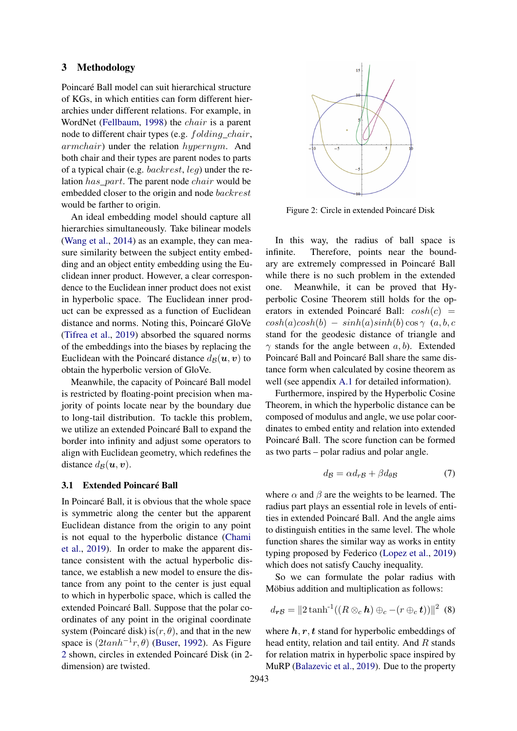## 3 Methodology

Poincaré Ball model can suit hierarchical structure of KGs, in which entities can form different hierarchies under different relations. For example, in WordNet [\(Fellbaum,](#page-5-9) [1998\)](#page-5-9) the chair is a parent node to different chair types (e.g. folding\_chair, armchair) under the relation hypernym. And both chair and their types are parent nodes to parts of a typical chair (e.g. backrest, leg) under the relation has\_part. The parent node chair would be embedded closer to the origin and node backrest would be farther to origin.

An ideal embedding model should capture all hierarchies simultaneously. Take bilinear models [\(Wang et al.,](#page-5-10) [2014\)](#page-5-10) as an example, they can measure similarity between the subject entity embedding and an object entity embedding using the Euclidean inner product. However, a clear correspondence to the Euclidean inner product does not exist in hyperbolic space. The Euclidean inner product can be expressed as a function of Euclidean distance and norms. Noting this, Poincaré GloVe [\(Tifrea et al.,](#page-5-11) [2019\)](#page-5-11) absorbed the squared norms of the embeddings into the biases by replacing the Euclidean with the Poincaré distance  $d_{\mathcal{B}}(\boldsymbol{u}, \boldsymbol{v})$  to obtain the hyperbolic version of GloVe.

Meanwhile, the capacity of Poincaré Ball model is restricted by floating-point precision when majority of points locate near by the boundary due to long-tail distribution. To tackle this problem, we utilize an extended Poincaré Ball to expand the border into infinity and adjust some operators to align with Euclidean geometry, which redefines the distance  $d_{\mathcal{B}}(\boldsymbol{u}, \boldsymbol{v})$ .

#### 3.1 Extended Poincaré Ball

In Poincaré Ball, it is obvious that the whole space is symmetric along the center but the apparent Euclidean distance from the origin to any point is not equal to the hyperbolic distance [\(Chami](#page-5-6) [et al.,](#page-5-6) [2019\)](#page-5-6). In order to make the apparent distance consistent with the actual hyperbolic distance, we establish a new model to ensure the distance from any point to the center is just equal to which in hyperbolic space, which is called the extended Poincaré Ball. Suppose that the polar coordinates of any point in the original coordinate system (Poincaré disk) is $(r, \theta)$ , and that in the new space is  $(2\tanh^{-1}r, \theta)$  [\(Buser,](#page-5-7) [1992\)](#page-5-7). As Figure [2](#page-2-0) shown, circles in extended Poincaré Disk (in 2 dimension) are twisted.

<span id="page-2-0"></span>

Figure 2: Circle in extended Poincaré Disk

In this way, the radius of ball space is infinite. Therefore, points near the boundary are extremely compressed in Poincaré Ball while there is no such problem in the extended one. Meanwhile, it can be proved that Hyperbolic Cosine Theorem still holds for the operators in extended Poincaré Ball:  $cosh(c)$  =  $cosh(a)cosh(b) - sinh(a)sinh(b)cos\gamma$  (a, b, c stand for the geodesic distance of triangle and  $\gamma$  stands for the angle between  $a, b$ ). Extended Poincaré Ball and Poincaré Ball share the same distance form when calculated by cosine theorem as well (see appendix [A.1](#page-5-12) for detailed information).

Furthermore, inspired by the Hyperbolic Cosine Theorem, in which the hyperbolic distance can be composed of modulus and angle, we use polar coordinates to embed entity and relation into extended Poincaré Ball. The score function can be formed as two parts – polar radius and polar angle.

$$
d_{\mathcal{B}} = \alpha d_{r\mathcal{B}} + \beta d_{\theta\mathcal{B}} \tag{7}
$$

where  $\alpha$  and  $\beta$  are the weights to be learned. The radius part plays an essential role in levels of entities in extended Poincaré Ball. And the angle aims to distinguish entities in the same level. The whole function shares the similar way as works in entity typing proposed by Federico [\(Lopez et al.,](#page-5-13) [2019\)](#page-5-13) which does not satisfy Cauchy inequality.

So we can formulate the polar radius with Möbius addition and multiplication as follows:

$$
d_{\boldsymbol{r}}\boldsymbol{g} = \|2\tanh^{-1}((R\otimes_c\boldsymbol{h})\oplus_c -(r\oplus_c\boldsymbol{t}))\|^2\tag{8}
$$

where  $h, r, t$  stand for hyperbolic embeddings of head entity, relation and tail entity. And R stands for relation matrix in hyperbolic space inspired by MuRP [\(Balazevic et al.,](#page-5-14) [2019\)](#page-5-14). Due to the property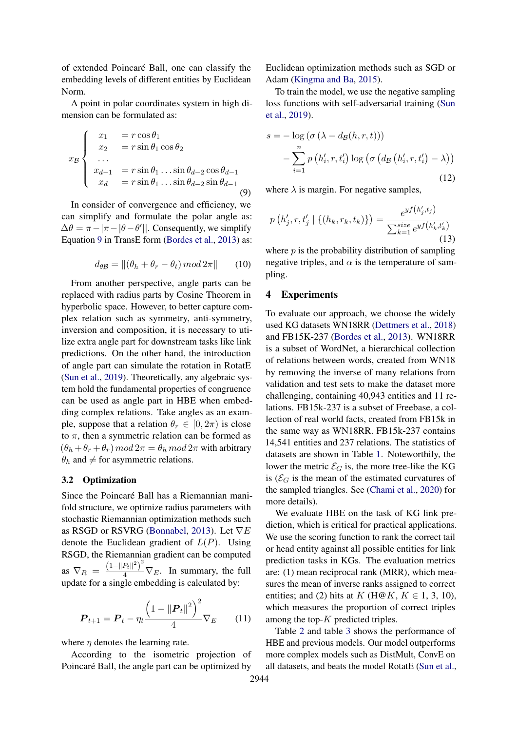of extended Poincaré Ball, one can classify the embedding levels of different entities by Euclidean Norm.

A point in polar coordinates system in high dimension can be formulated as:

$$
x_{\mathcal{B}}\begin{cases}\nx_1 &= r \cos \theta_1 \\
x_2 &= r \sin \theta_1 \cos \theta_2 \\
\vdots \\
x_{d-1} &= r \sin \theta_1 \dots \sin \theta_{d-2} \cos \theta_{d-1} \\
x_d &= r \sin \theta_1 \dots \sin \theta_{d-2} \sin \theta_{d-1}\n\end{cases}
$$
\n(9)

In consider of convergence and efficiency, we can simplify and formulate the polar angle as:  $\Delta \theta = \pi - |\pi - \theta - \theta'|$ . Consequently, we simplify Equation [9](#page-3-0) in TransE form [\(Bordes et al.,](#page-5-15) [2013\)](#page-5-15) as:

$$
d_{\theta \mathcal{B}} = \| (\theta_h + \theta_r - \theta_t) \bmod 2\pi \| \qquad (10)
$$

From another perspective, angle parts can be replaced with radius parts by Cosine Theorem in hyperbolic space. However, to better capture complex relation such as symmetry, anti-symmetry, inversion and composition, it is necessary to utilize extra angle part for downstream tasks like link predictions. On the other hand, the introduction of angle part can simulate the rotation in RotatE [\(Sun et al.,](#page-5-16) [2019\)](#page-5-16). Theoretically, any algebraic system hold the fundamental properties of congruence can be used as angle part in HBE when embedding complex relations. Take angles as an example, suppose that a relation  $\theta_r \in [0, 2\pi)$  is close to  $\pi$ , then a symmetric relation can be formed as  $(\theta_h + \theta_r + \theta_r) \mod 2\pi = \theta_h \mod 2\pi$  with arbitrary  $\theta_h$  and  $\neq$  for asymmetric relations.

#### 3.2 Optimization

Since the Poincaré Ball has a Riemannian manifold structure, we optimize radius parameters with stochastic Riemannian optimization methods such as RSGD or RSVRG [\(Bonnabel,](#page-5-17) [2013\)](#page-5-17). Let  $\nabla E$ denote the Euclidean gradient of  $L(P)$ . Using RSGD, the Riemannian gradient can be computed as  $\nabla_R = \frac{(1 - ||P_t||^2)^2}{4} \nabla_E$ . In summary, the full update for a single embedding is calculated by:

$$
P_{t+1} = P_t - \eta_t \frac{\left(1 - ||P_t||^2\right)^2}{4} \nabla_E \qquad (11)
$$

where  $\eta$  denotes the learning rate.

According to the isometric projection of Poincaré Ball, the angle part can be optimized by Euclidean optimization methods such as SGD or Adam [\(Kingma and Ba,](#page-5-18) [2015\)](#page-5-18).

<span id="page-3-0"></span>To train the model, we use the negative sampling loss functions with self-adversarial training [\(Sun](#page-5-16) [et al.,](#page-5-16) [2019\)](#page-5-16).

$$
s = -\log\left(\sigma\left(\lambda - d_{\mathcal{B}}(h, r, t)\right)\right)
$$

$$
-\sum_{i=1}^{n} p\left(h'_{i}, r, t'_{i}\right) \log\left(\sigma\left(d_{\mathcal{B}}\left(h'_{i}, r, t'_{i}\right) - \lambda\right)\right)
$$
(12)

where  $\lambda$  is margin. For negative samples,

$$
p(h'_{j}, r, t'_{j} \mid \{(h_{k}, r_{k}, t_{k})\}) = \frac{e^{y f(h'_{j}, t_{j})}}{\sum_{k=1}^{size} e^{y f(h'_{k}, t'_{k})}}
$$
(13)

where  $p$  is the probability distribution of sampling negative triples, and  $\alpha$  is the temperature of sampling.

#### 4 Experiments

To evaluate our approach, we choose the widely used KG datasets WN18RR [\(Dettmers et al.,](#page-5-19) [2018\)](#page-5-19) and FB15K-237 [\(Bordes et al.,](#page-5-15) [2013\)](#page-5-15). WN18RR is a subset of WordNet, a hierarchical collection of relations between words, created from WN18 by removing the inverse of many relations from validation and test sets to make the dataset more challenging, containing 40,943 entities and 11 relations. FB15k-237 is a subset of Freebase, a collection of real world facts, created from FB15k in the same way as WN18RR. FB15k-237 contains 14,541 entities and 237 relations. The statistics of datasets are shown in Table [1.](#page-4-0) Noteworthily, the lower the metric  $\mathcal{E}_G$  is, the more tree-like the KG is ( $\mathcal{E}_G$  is the mean of the estimated curvatures of the sampled triangles. See [\(Chami et al.,](#page-5-20) [2020\)](#page-5-20) for more details).

We evaluate HBE on the task of KG link prediction, which is critical for practical applications. We use the scoring function to rank the correct tail or head entity against all possible entities for link prediction tasks in KGs. The evaluation metrics are: (1) mean reciprocal rank (MRR), which measures the mean of inverse ranks assigned to correct entities; and (2) hits at K (H@K,  $K \in 1, 3, 10$ ), which measures the proportion of correct triples among the top- $K$  predicted triples.

Table [2](#page-4-1) and table [3](#page-4-2) shows the performance of HBE and previous models. Our model outperforms more complex models such as DistMult, ConvE on all datasets, and beats the model RotatE [\(Sun et al.,](#page-5-16)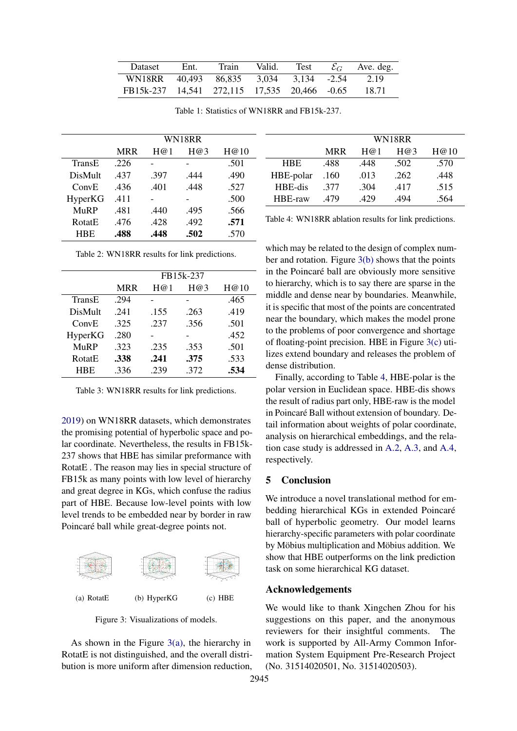<span id="page-4-0"></span>

| Dataset                                      | Ent. | Train | Valid. | Test | $\mathcal{E}_C$ Ave. deg. |
|----------------------------------------------|------|-------|--------|------|---------------------------|
| WN18RR 40,493 86,835 3,034 3,134 -2.54       |      |       |        |      | 2.19                      |
| FB15k-237 14,541 272,115 17,535 20,466 -0.65 |      |       |        |      | 18.71                     |

<span id="page-4-1"></span>

|               | WN18RR     |      |      |      |  |
|---------------|------------|------|------|------|--|
|               | <b>MRR</b> | H@1  | H@3  | H@10 |  |
| TransE        | .226       |      |      | .501 |  |
| DisMult       | .437       | .397 | .444 | .490 |  |
| ConvE         | .436       | .401 | .448 | .527 |  |
| HyperKG       | .411       |      |      | .500 |  |
| MuRP          | .481       | .440 | .495 | .566 |  |
| <b>RotatE</b> | .476       | .428 | .492 | .571 |  |
| <b>HRE</b>    | .488       | .448 | .502 | .570 |  |

Table 1: Statistics of WN18RR and FB15k-237.

| Table 2: WN18RR results for link predictions. |
|-----------------------------------------------|
|-----------------------------------------------|

<span id="page-4-2"></span>

|               | FB15k-237  |      |      |      |  |
|---------------|------------|------|------|------|--|
|               | <b>MRR</b> | H@1  | H@3  | H@10 |  |
| TransE        | .294       |      |      | .465 |  |
| DisMult       | 241        | .155 | .263 | .419 |  |
| ConvE         | .325       | .237 | .356 | .501 |  |
| HyperKG       | .280       |      |      | .452 |  |
| MuRP          | .323       | .235 | .353 | .501 |  |
| <b>RotatE</b> | .338       | .241 | .375 | .533 |  |
| <b>HBE</b>    | .336       | .239 | .372 | .534 |  |

Table 3: WN18RR results for link predictions.

[2019\)](#page-5-16) on WN18RR datasets, which demonstrates the promising potential of hyperbolic space and polar coordinate. Nevertheless, the results in FB15k-237 shows that HBE has similar preformance with RotatE . The reason may lies in special structure of FB15k as many points with low level of hierarchy and great degree in KGs, which confuse the radius part of HBE. Because low-level points with low level trends to be embedded near by border in raw Poincaré ball while great-degree points not.

<span id="page-4-3"></span>

<span id="page-4-4"></span>Figure 3: Visualizations of models.

As shown in the Figure [3\(a\),](#page-4-3) the hierarchy in RotatE is not distinguished, and the overall distribution is more uniform after dimension reduction,

<span id="page-4-6"></span>

|            | WN18RR     |      |      |      |
|------------|------------|------|------|------|
|            | <b>MRR</b> | H@1  | H@3  | H@10 |
| <b>HBE</b> | .488       | .448 | .502 | .570 |
| HBE-polar  | .160       | .013 | .262 | .448 |
| HBE-dis    | .377       | .304 | .417 | .515 |
| HBE-raw    | .479       | .429 | .494 | .564 |

Table 4: WN18RR ablation results for link predictions.

which may be related to the design of complex number and rotation. Figure [3\(b\)](#page-4-4) shows that the points in the Poincaré ball are obviously more sensitive to hierarchy, which is to say there are sparse in the middle and dense near by boundaries. Meanwhile, it is specific that most of the points are concentrated near the boundary, which makes the model prone to the problems of poor convergence and shortage of floating-point precision. HBE in Figure [3\(c\)](#page-4-5) utilizes extend boundary and releases the problem of dense distribution.

Finally, according to Table [4,](#page-4-6) HBE-polar is the polar version in Euclidean space. HBE-dis shows the result of radius part only, HBE-raw is the model in Poincaré Ball without extension of boundary. Detail information about weights of polar coordinate, analysis on hierarchical embeddings, and the relation case study is addressed in [A.2,](#page-6-0) [A.3,](#page-6-1) and [A.4,](#page-7-0) respectively.

#### 5 Conclusion

We introduce a novel translational method for embedding hierarchical KGs in extended Poincaré ball of hyperbolic geometry. Our model learns hierarchy-specific parameters with polar coordinate by Möbius multiplication and Möbius addition. We show that HBE outperforms on the link prediction task on some hierarchical KG dataset.

## <span id="page-4-5"></span>Acknowledgements

We would like to thank Xingchen Zhou for his suggestions on this paper, and the anonymous reviewers for their insightful comments. The work is supported by All-Army Common Information System Equipment Pre-Research Project (No. 31514020501, No. 31514020503).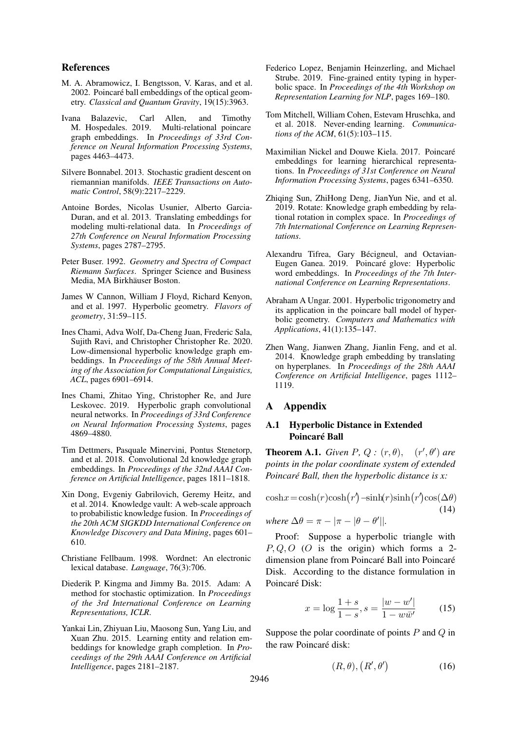### References

- <span id="page-5-8"></span>M. A. Abramowicz, I. Bengtsson, V. Karas, and et al. 2002. Poincaré ball embeddings of the optical geometry. *Classical and Quantum Gravity*, 19(15):3963.
- <span id="page-5-14"></span>Ivana Balazevic, Carl Allen, and Timothy M. Hospedales. 2019. Multi-relational poincare graph embeddings. In *Proceedings of 33rd Conference on Neural Information Processing Systems*, pages 4463–4473.
- <span id="page-5-17"></span>Silvere Bonnabel. 2013. Stochastic gradient descent on riemannian manifolds. *IEEE Transactions on Automatic Control*, 58(9):2217–2229.
- <span id="page-5-15"></span>Antoine Bordes, Nicolas Usunier, Alberto Garcia-Duran, and et al. 2013. Translating embeddings for modeling multi-relational data. In *Proceedings of 27th Conference on Neural Information Processing Systems*, pages 2787–2795.
- <span id="page-5-7"></span>Peter Buser. 1992. *Geometry and Spectra of Compact Riemann Surfaces*. Springer Science and Business Media, MA Birkhäuser Boston.
- <span id="page-5-3"></span>James W Cannon, William J Floyd, Richard Kenyon, and et al. 1997. Hyperbolic geometry. *Flavors of geometry*, 31:59–115.
- <span id="page-5-20"></span>Ines Chami, Adva Wolf, Da-Cheng Juan, Frederic Sala, Sujith Ravi, and Christopher Christopher Re. 2020. Low-dimensional hyperbolic knowledge graph embeddings. In *Proceedings of the 58th Annual Meeting of the Association for Computational Linguistics, ACL*, pages 6901–6914.
- <span id="page-5-6"></span>Ines Chami, Zhitao Ying, Christopher Re, and Jure Leskovec. 2019. Hyperbolic graph convolutional neural networks. In *Proceedings of 33rd Conference on Neural Information Processing Systems*, pages 4869–4880.
- <span id="page-5-19"></span>Tim Dettmers, Pasquale Minervini, Pontus Stenetorp, and et al. 2018. Convolutional 2d knowledge graph embeddings. In *Proceedings of the 32nd AAAI Conference on Artificial Intelligence*, pages 1811–1818.
- <span id="page-5-0"></span>Xin Dong, Evgeniy Gabrilovich, Geremy Heitz, and et al. 2014. Knowledge vault: A web-scale approach to probabilistic knowledge fusion. In *Proceedings of the 20th ACM SIGKDD International Conference on Knowledge Discovery and Data Mining*, pages 601– 610.
- <span id="page-5-9"></span>Christiane Fellbaum. 1998. Wordnet: An electronic lexical database. *Language*, 76(3):706.
- <span id="page-5-18"></span>Diederik P. Kingma and Jimmy Ba. 2015. Adam: A method for stochastic optimization. In *Proceedings of the 3rd International Conference on Learning Representations, ICLR*.
- <span id="page-5-1"></span>Yankai Lin, Zhiyuan Liu, Maosong Sun, Yang Liu, and Xuan Zhu. 2015. Learning entity and relation embeddings for knowledge graph completion. In *Proceedings of the 29th AAAI Conference on Artificial Intelligence*, pages 2181–2187.
- <span id="page-5-13"></span>Federico Lopez, Benjamin Heinzerling, and Michael Strube. 2019. Fine-grained entity typing in hyperbolic space. In *Proceedings of the 4th Workshop on Representation Learning for NLP*, pages 169–180.
- <span id="page-5-4"></span>Tom Mitchell, William Cohen, Estevam Hruschka, and et al. 2018. Never-ending learning. *Communications of the ACM*, 61(5):103–115.
- <span id="page-5-2"></span>Maximilian Nickel and Douwe Kiela. 2017. Poincaré embeddings for learning hierarchical representations. In *Proceedings of 31st Conference on Neural Information Processing Systems*, pages 6341–6350.
- <span id="page-5-16"></span>Zhiqing Sun, ZhiHong Deng, JianYun Nie, and et al. 2019. Rotate: Knowledge graph embedding by relational rotation in complex space. In *Proceedings of 7th International Conference on Learning Representations*.
- <span id="page-5-11"></span>Alexandru Tifrea, Gary Bécigneul, and Octavian-Eugen Ganea. 2019. Poincaré glove: Hyperbolic word embeddings. In *Proceedings of the 7th International Conference on Learning Representations*.
- <span id="page-5-5"></span>Abraham A Ungar. 2001. Hyperbolic trigonometry and its application in the poincare ball model of hyperbolic geometry. *Computers and Mathematics with Applications*, 41(1):135–147.
- <span id="page-5-10"></span>Zhen Wang, Jianwen Zhang, Jianlin Feng, and et al. 2014. Knowledge graph embedding by translating on hyperplanes. In *Proceedings of the 28th AAAI Conference on Artificial Intelligence*, pages 1112– 1119.

## A Appendix

## A.1 Hyperbolic Distance in Extended Poincaré Ball

<span id="page-5-12"></span>**Theorem A.1.** *Given P, Q:*  $(r, \theta)$ ,  $(r', \theta')$  *are points in the polar coordinate system of extended Poincaré Ball, then the hyperbolic distance is x:*

$$
\cosh x = \cosh(r)\cosh(r) - \sinh(r)\sinh(r)\cos(\Delta\theta)
$$
\n(14)

where 
$$
\Delta \theta = \pi - |\pi - |\theta - \theta'|
$$
.

Proof: Suppose a hyperbolic triangle with  $P, Q, O$  (O is the origin) which forms a 2dimension plane from Poincaré Ball into Poincaré Disk. According to the distance formulation in Poincaré Disk:

$$
x = \log \frac{1+s}{1-s}, s = \frac{|w - w'|}{1 - w\bar{w}'}
$$
 (15)

Suppose the polar coordinate of points  $P$  and  $Q$  in the raw Poincaré disk:

$$
(R, \theta), (R', \theta') \tag{16}
$$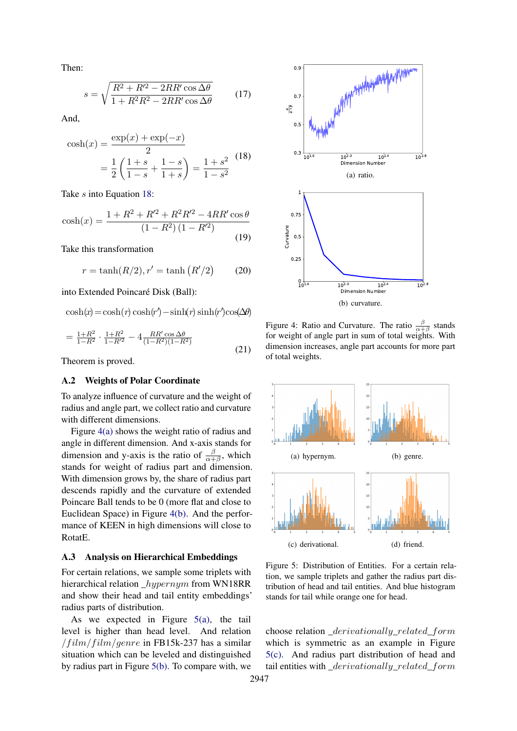Then:

$$
s = \sqrt{\frac{R^2 + R'^2 - 2RR'\cos\Delta\theta}{1 + R^2R^2 - 2RR'\cos\Delta\theta}}\tag{17}
$$

<span id="page-6-2"></span>And,

$$
\cosh(x) = \frac{\exp(x) + \exp(-x)}{2}
$$

$$
= \frac{1}{2} \left( \frac{1+s}{1-s} + \frac{1-s}{1+s} \right) = \frac{1+s^2}{1-s^2} \tag{18}
$$

Take s into Equation [18:](#page-6-2)

$$
\cosh(x) = \frac{1 + R^2 + R'^2 + R^2 R'^2 - 4RR'\cos\theta}{(1 - R^2)(1 - R'^2)}
$$
(19)

Take this transformation

$$
r = \tanh(R/2), r' = \tanh(R'/2)
$$
 (20)

into Extended Poincaré Disk (Ball):

 $\cosh(x) = \cosh(r) \cosh(r) - \sinh(r) \sinh(r') \cos(\Delta\theta)$ 

$$
=\frac{1+R^2}{1-R^2}\cdot\frac{1+R^2}{1-R'^2}-4\frac{RR'\cos\Delta\theta}{(1-R^2)(1-R^2)}\tag{21}
$$

Theorem is proved.

### <span id="page-6-0"></span>A.2 Weights of Polar Coordinate

To analyze influence of curvature and the weight of radius and angle part, we collect ratio and curvature with different dimensions.

Figure [4\(a\)](#page-6-3) shows the weight ratio of radius and angle in different dimension. And x-axis stands for dimension and y-axis is the ratio of  $\frac{\beta}{\alpha+\beta}$ , which stands for weight of radius part and dimension. With dimension grows by, the share of radius part descends rapidly and the curvature of extended Poincare Ball tends to be 0 (more flat and close to Euclidean Space) in Figure [4\(b\).](#page-6-4) And the performance of KEEN in high dimensions will close to RotatE.

#### <span id="page-6-1"></span>A.3 Analysis on Hierarchical Embeddings

For certain relations, we sample some triplets with hierarchical relation \_hypernym from WN18RR and show their head and tail entity embeddings' radius parts of distribution.

As we expected in Figure  $5(a)$ , the tail level is higher than head level. And relation  $/film/film/generic$  in FB15k-237 has a similar situation which can be leveled and distinguished by radius part in Figure [5\(b\).](#page-6-6) To compare with, we

<span id="page-6-3"></span>

<span id="page-6-4"></span>Figure 4: Ratio and Curvature. The ratio  $\frac{\beta}{\alpha+\beta}$  stands for weight of angle part in sum of total weights. With dimension increases, angle part accounts for more part of total weights.

<span id="page-6-6"></span><span id="page-6-5"></span>

<span id="page-6-7"></span>Figure 5: Distribution of Entities. For a certain relation, we sample triplets and gather the radius part distribution of head and tail entities. And blue histogram stands for tail while orange one for head.

choose relation \_derivationally\_related\_form which is symmetric as an example in Figure [5\(c\).](#page-6-7) And radius part distribution of head and tail entities with \_derivationally\_related\_form